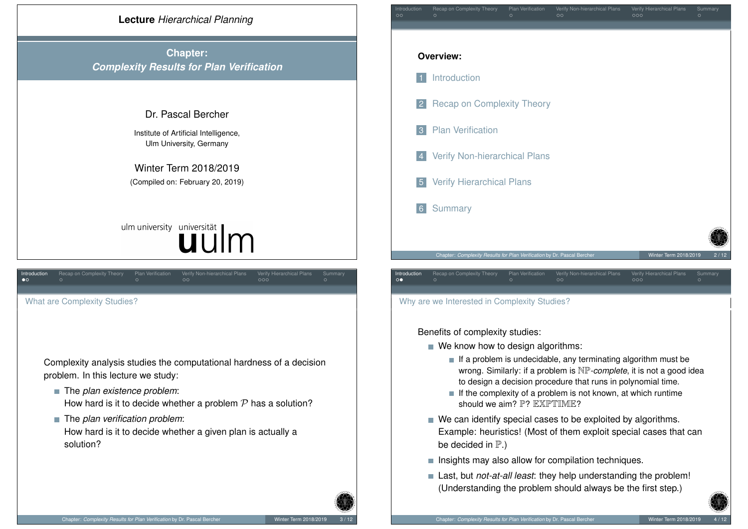

<span id="page-0-0"></span>[Complexity](#page-0-0) analysis studies the computational hardness of a decision [problem. In this lecture we](#page-1-0) study:

- The *plan existence problem*: [How hard](#page-1-0) is it to decide whether a problem  $P$  has a solution?
- The *plan verification problem*: [How hard is it to decid](#page-1-0)e whether a given plan is actually a solution?



Why are we Interested in Complexity Studies?

Benefits of complexity studies:

- $\blacksquare$  We know how to design algorithms:
	- $\blacksquare$  If a problem is undecidable, any terminating algorithm must be wrong. Similarly: if a problem is NP*-complete*, it is not a good idea to design a decision procedure that runs in polynomial time.
	- $\blacksquare$  If the complexity of a problem is not known, at which runtime should we aim? P? EXPTIME?
- We can identify special cases to be exploited by algorithms. Example: heuristics! (Most of them exploit special cases that can be decided in  $\mathbb{P}$ .)
- $\blacksquare$  Insights may also allow for compilation techniques.
- Last, but *not-at-all least*: they help understanding the problem! (Understanding the problem should always be the first step.)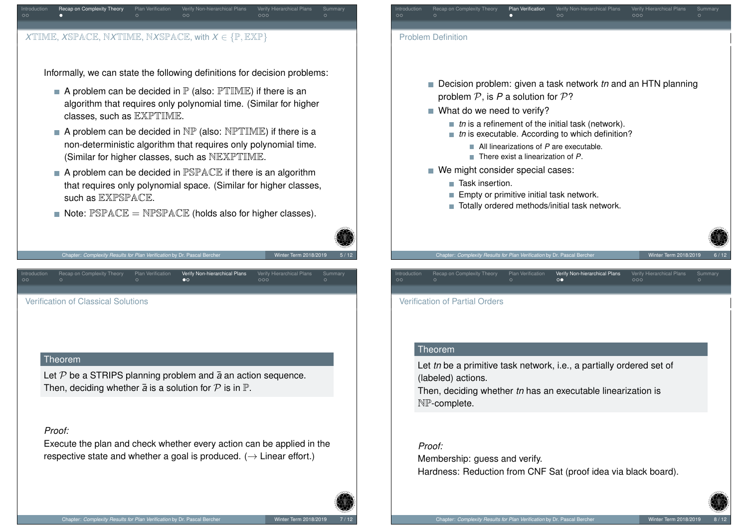

Informally, we can state the following definitions for decision problems:

- A problem can be decided in  $\mathbb P$  (also:  $\mathbb P$ TIME) if there is an algorithm that requires only polynomial time. (Similar for higher classes, such as EXPTIME.
- A problem can be decided in  $NP$  (also:  $NPTIME$ ) if there is a non-deterministic algorithm that requires only polynomial time. (Similar for higher classes, such as NEXPTIME.
- A problem can be decided in PSPACE if there is an algorithm that requires only polynomial space. (Similar for higher classes, such as EXPSPACE.
- Note:  $\mathbb{P} \text{SPACE} = \text{N} \mathbb{P} \text{SPACE}$  (holds also for higher classes).

Verify Non-hierarchical Plans



Verification of Partial Orders

### Theorem

Let *tn* be a primitive task network, i.e., a partially ordered set of (labeled) actions.

Then, deciding whether *tn* has an executable linearization is NP-complete.

## *Proof:*

Membership: guess and verify. Hardness: Reduction from CNF Sat (proof idea via black board).

<span id="page-1-0"></span>Ver[ifi](#page-1-0)cation of Classical [S](#page-1-0)olutions

Chapter: *Complexity Results for Plan Verification* by Dr. Pascal Berche

## Theorem

Let  $P$  be a STRIPS planning problem and  $\bar{a}$  an action sequence. Then, deciding whether  $\bar{a}$  is a solution for  $P$  is in  $\mathbb{P}$ .

# *Proof:*

Execute the plan and check whether every action can be applied in the respective state and whether a goal is produced.  $(\rightarrow$  Linear effort.)